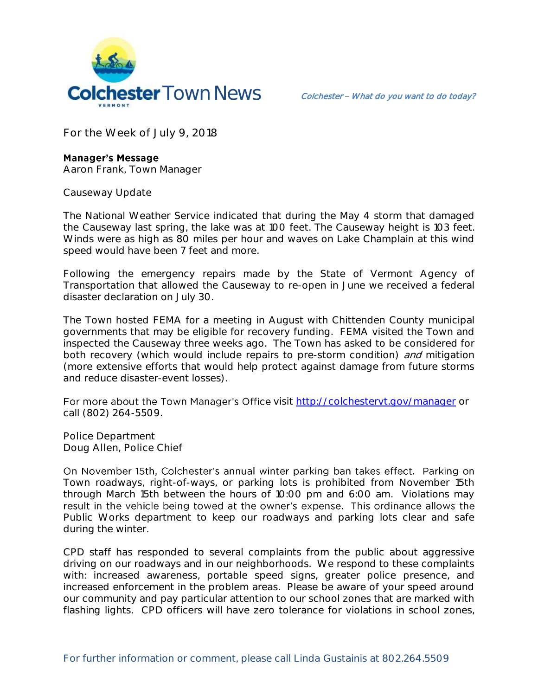

**For the Week of July 9, 2018**

## **Manager's Message**

**Aaron Frank, Town Manager**

**Causeway Update**

The National Weather Service indicated that during the May 4 storm that damaged the Causeway last spring, the lake was at 100 feet. The Causeway height is 103 feet. Winds were as high as 80 miles per hour and waves on Lake Champlain at this wind speed would have been 7 feet and more.

Following the emergency repairs made by the State of Vermont Agency of Transportation that allowed the Causeway to re-open in June we received a federal disaster declaration on July 30.

The Town hosted FEMA for a meeting in August with Chittenden County municipal governments that may be eligible for recovery funding. FEMA visited the Town and inspected the Causeway three weeks ago. The Town has asked to be considered for both recovery (which would include repairs to pre-storm condition) and mitigation (more extensive efforts that would help protect against damage from future storms and reduce disaster-event losses).

For more about the Town Manager's Office visit<http://colchestervt.gov/manager> or call (802) 264-5509.

**Police Department Doug Allen, Police Chief** 

On November 15th, Colchester's annual winter parking ban takes effect. Parking on Town roadways, right-of-ways, or parking lots is prohibited from November 15th through March 15th between the hours of 10:00 pm and 6:00 am. Violations may result in the vehicle being towed at the owner's expense. This ordinance allows the Public Works department to keep our roadways and parking lots clear and safe during the winter.

CPD staff has responded to several complaints from the public about aggressive driving on our roadways and in our neighborhoods. We respond to these complaints with: increased awareness, portable speed signs, greater police presence, and increased enforcement in the problem areas. Please be aware of your speed around our community and pay particular attention to our school zones that are marked with flashing lights. CPD officers will have zero tolerance for violations in school zones,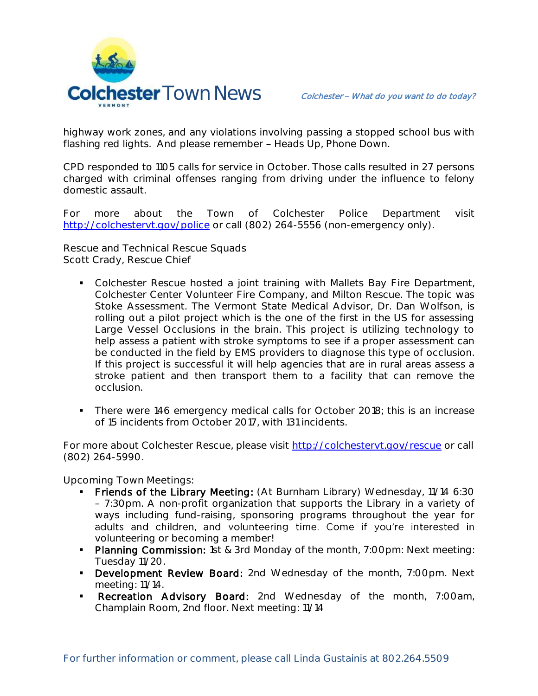

highway work zones, and any violations involving passing a stopped school bus with flashing red lights. And please remember - Heads Up, Phone Down.

CPD responded to 1105 calls for service in October. Those calls resulted in 27 persons charged with criminal offenses ranging from driving under the influence to felony domestic assault.

For more about the Town of Colchester Police Department visit <http://colchestervt.gov/police> or call (802) 264-5556 (non-emergency only).

**Rescue and Technical Rescue Squads Scott Crady, Rescue Chief**

- Colchester Rescue hosted a joint training with Mallets Bay Fire Department, Colchester Center Volunteer Fire Company, and Milton Rescue. The topic was Stoke Assessment. The Vermont State Medical Advisor, Dr. Dan Wolfson, is rolling out a pilot project which is the one of the first in the US for assessing Large Vessel Occlusions in the brain. This project is utilizing technology to help assess a patient with stroke symptoms to see if a proper assessment can be conducted in the field by EMS providers to diagnose this type of occlusion. If this project is successful it will help agencies that are in rural areas assess a stroke patient and then transport them to a facility that can remove the occlusion.
- There were 146 emergency medical calls for October 2018; this is an increase of 15 incidents from October 2017, with 131 incidents.

For more about Colchester Rescue, please visit [http://colchestervt.gov/rescue](http://colchestervt.gov/rescue/index.shtml) or call (802) 264-5990.

**Upcoming Town Meetings:** 

- Friends of the Library Meeting: (At Burnham Library) Wednesday, 11/14 6:30 7:30pm. A non-profit organization that supports the Library in a variety of ways including fund-raising, sponsoring programs throughout the year for adults and children, and volunteering time. Come if you're interested in volunteering or becoming a member!
- **Planning Commission:** 1st & 3rd Monday of the month, 7:00pm: Next meeting: Tuesday 11/20.
- Development Review Board: 2nd Wednesday of the month, 7:00pm. Next meeting: 11/14.
- **Recreation Advisory Board:** 2nd Wednesday of the month, 7:00am, Champlain Room, 2nd floor. Next meeting: 11/14